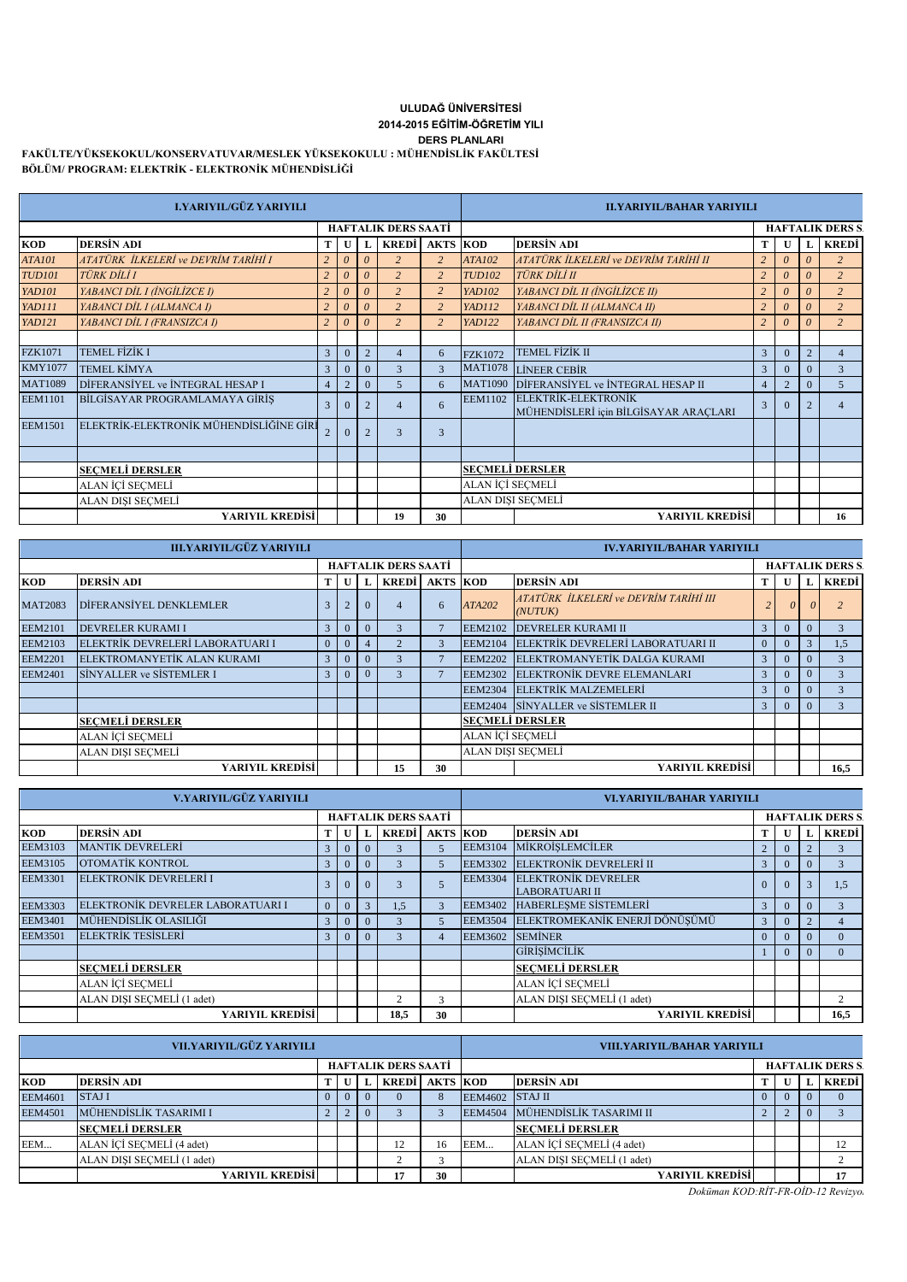## **DERS PLANLARI 2014-2015 EĞİTİM-ÖĞRETİM YILI ULUDAĞ ÜNİVERSİTESİ**

**FAKÜLTE/YÜKSEKOKUL/KONSERVATUVAR/MESLEK YÜKSEKOKULU : MÜHENDİSLİK FAKÜLTESİ BÖLÜM/ PROGRAM: ELEKTRİK - ELEKTRONİK MÜHENDİSLİĞİ**

|                | <b>I.YARIYIL/GÜZ YARIYILI</b>           | <b>ILYARIYIL/BAHAR YARIYILI</b> |                |                |                            |                 |                |                                                              |                |          |                |                        |
|----------------|-----------------------------------------|---------------------------------|----------------|----------------|----------------------------|-----------------|----------------|--------------------------------------------------------------|----------------|----------|----------------|------------------------|
|                |                                         |                                 |                |                | <b>HAFTALIK DERS SAATI</b> |                 |                |                                                              |                |          |                | <b>HAFTALIK DERS S</b> |
| <b>KOD</b>     | <b>DERSIN ADI</b>                       | т                               |                |                | <b>KREDI</b>               | <b>AKTS KOD</b> |                | <b>DERSIN ADI</b>                                            | т              |          | L              | <b>KREDI</b>           |
| <b>ATA101</b>  | ATATÜRK İLKELERİ ve DEVRİM TARİHİ I     | $\overline{c}$                  | $\theta$       | $\theta$       | $\overline{z}$             | $\overline{c}$  | <b>ATA102</b>  | ATATÜRK İLKELERİ ve DEVRİM TARİHİ II                         | $\overline{c}$ | 0        | $\theta$       |                        |
| <b>TUD101</b>  | <b>TÜRK DİLİ I</b>                      | $\overline{c}$                  | $\theta$       | 0              | $\overline{c}$             | $\overline{c}$  | <b>TUD102</b>  | <b>TÜRK DİLİ II</b>                                          | $\overline{2}$ | $\theta$ | 0              | 2                      |
| <b>YAD101</b>  | YABANCI DİL I (İNGİLİZCE I)             | $\overline{2}$                  | $\theta$       | 0              | $\overline{2}$             | $\overline{2}$  | <b>YAD102</b>  | YABANCI DİL II (İNGİLİZCE II)                                | $\overline{2}$ |          | $\theta$       | $\overline{2}$         |
| <b>YAD111</b>  | YABANCI DİL I (ALMANCA I)               | $\overline{c}$                  | $\theta$       | 0              | $\overline{c}$             | $\overline{c}$  | <b>YAD112</b>  | YABANCI DİL II (ALMANCA II)                                  | $\overline{2}$ | 0        | $\theta$       | 2                      |
| <b>YAD121</b>  | YABANCI DİL I (FRANSIZCA I)             | $\overline{c}$                  | $\theta$       | $\theta$       | $\overline{c}$             | $\overline{2}$  | <b>YAD122</b>  | YABANCI DİL II (FRANSIZCA II)                                |                | $\theta$ | $\theta$       | $\overline{2}$         |
|                |                                         |                                 |                |                |                            |                 |                |                                                              |                |          |                |                        |
| <b>FZK1071</b> | <b>TEMEL FİZİK I</b>                    | 3                               | $\Omega$       | $\overline{2}$ |                            | 6               | <b>FZK1072</b> | <b>TEMEL FİZİK II</b>                                        | 3              | $\Omega$ | $\overline{2}$ | 4                      |
| <b>KMY1077</b> | <b>TEMEL KİMYA</b>                      | 3                               | $\Omega$       | $\Omega$       |                            | 3               | <b>MAT1078</b> | <b>LİNEER CEBİR</b>                                          | 3              |          | $\Omega$       | $\mathbf{3}$           |
| <b>MAT1089</b> | DIFERANSIYEL ve INTEGRAL HESAP I        | 4                               | $\overline{2}$ | $\Omega$       | $\overline{5}$             | 6               | <b>MAT1090</b> | DİFERANSİYEL ve İNTEGRAL HESAP II                            | $\overline{4}$ |          | $\Omega$       | $\overline{5}$         |
| <b>EEM1101</b> | BİLGİSAYAR PROGRAMLAMAYA GİRİS          | 3                               |                | $\overline{2}$ | $\overline{4}$             | 6               | <b>EEM1102</b> | ELEKTRİK-ELEKTRONİK<br>MÜHENDİSLERİ için BİLGİSAYAR ARAÇLARI | 3              | $\Omega$ | 2              | $\overline{4}$         |
| <b>EEM1501</b> | ELEKTRİK-ELEKTRONİK MÜHENDİSLİĞİNE GİRİ |                                 |                | $\overline{2}$ | $\overline{\mathbf{3}}$    | $\overline{3}$  |                |                                                              |                |          |                |                        |
|                |                                         |                                 |                |                |                            |                 |                |                                                              |                |          |                |                        |
|                | <b>SECMELI DERSLER</b>                  |                                 |                |                |                            |                 |                | <b>SECMELI DERSLER</b>                                       |                |          |                |                        |
|                | ALAN İÇİ SECMELİ                        |                                 |                |                |                            |                 |                | ALAN İCİ SECMELİ                                             |                |          |                |                        |
|                | ALAN DISI SECMELİ                       |                                 |                |                |                            |                 |                | ALAN DISI SECMELİ                                            |                |          |                |                        |
|                | YARIYIL KREDİSİ                         |                                 |                |                | 19                         | 30              |                | YARIYIL KREDİSİ                                              |                |          |                | 16                     |

|                            | <b>III.YARIYIL/GÜZ YARIYILI</b>  | <b>IV.YARIYIL/BAHAR YARIYILI</b> |                |          |                       |    |                          |                                                  |                |          |          |               |
|----------------------------|----------------------------------|----------------------------------|----------------|----------|-----------------------|----|--------------------------|--------------------------------------------------|----------------|----------|----------|---------------|
| <b>HAFTALIK DERS SAATİ</b> |                                  |                                  |                |          |                       |    |                          | <b>HAFTALIK DERS S</b>                           |                |          |          |               |
| <b>KOD</b>                 | <b>DERSIN ADI</b>                |                                  |                |          | <b>KREDI AKTS KOD</b> |    |                          | <b>DERSIN ADI</b>                                |                |          | L        | KREDİ         |
| <b>MAT2083</b>             | DİFERANSİYEL DENKLEMLER          | 3                                | $\mathcal{D}$  | $\Omega$ |                       | 6  | ATA202                   | ATATÜRK İLKELERİ ve DEVRİM TARİHİ III<br>(NUTUK) |                |          |          |               |
| <b>EEM2101</b>             | <b>DEVRELER KURAMI I</b>         | 3                                | $\Omega$       | $\Omega$ |                       |    | <b>EEM2102</b>           | <b>DEVRELER KURAMI II</b>                        | 3              | $\Omega$ | $\Omega$ | $\mathcal{F}$ |
| <b>EEM2103</b>             | ELEKTRİK DEVRELERİ LABORATUARI I | $\overline{0}$                   |                |          |                       | 3  | <b>EEM2104</b>           | ELEKTRİK DEVRELERİ LABORATUARI II                | $\overline{0}$ |          | 3        | 1.5           |
| <b>EEM2201</b>             | ELEKTROMANYETİK ALAN KURAMI      | 3                                | $\overline{0}$ | $\Omega$ |                       |    | <b>EEM2202</b>           | ELEKTROMANYETİK DALGA KURAMI                     | 3              | $\Omega$ | $\Omega$ |               |
| <b>EEM2401</b>             | SINYALLER ve SISTEMLER I         | 3                                | $\Omega$       | $\Omega$ |                       |    | <b>EEM2302</b>           | <b>ELEKTRONİK DEVRE ELEMANLARI</b>               | 3              |          | $\Omega$ |               |
|                            |                                  |                                  |                |          |                       |    | <b>EEM2304</b>           | <b>ELEKTRİK MALZEMELERİ</b>                      | 3              | $\Omega$ | $\Omega$ | 3             |
|                            |                                  |                                  |                |          |                       |    | <b>EEM2404</b>           | SINYALLER ve SISTEMLER II                        | 3              | $\Omega$ | $\Omega$ |               |
|                            | <b>SECMELI DERSLER</b>           |                                  |                |          |                       |    |                          | <b>SECMELI DERSLER</b>                           |                |          |          |               |
|                            | ALAN İCİ SECMELİ                 |                                  |                |          |                       |    | ALAN İCİ SECMELİ         |                                                  |                |          |          |               |
|                            | ALAN DISI SECMELI                |                                  |                |          |                       |    | <b>ALAN DISI SECMELI</b> |                                                  |                |          |          |               |
|                            | YARIYIL KREDİSİ                  |                                  |                |          | 15                    | 30 |                          | YARIYIL KREDİSİ                                  |                |          |          | 16,5          |

|                | V.YARIYIL/GÜZ YARIYILI            | VI.YARIYIL/BAHAR YARIYILI |                |                            |              |                 |                |                                                     |                |                         |                |          |  |  |
|----------------|-----------------------------------|---------------------------|----------------|----------------------------|--------------|-----------------|----------------|-----------------------------------------------------|----------------|-------------------------|----------------|----------|--|--|
|                |                                   |                           |                | <b>HAFTALIK DERS SAATİ</b> |              |                 |                |                                                     |                | <b>HAFTALIK DERS S.</b> |                |          |  |  |
| <b>KOD</b>     | DERSIN ADI                        |                           |                | L                          | <b>KREDI</b> | <b>AKTS KOD</b> |                | <b>DERSIN ADI</b>                                   |                | U                       |                | L KREDI  |  |  |
| <b>EEM3103</b> | <b>MANTIK DEVRELERİ</b>           | 3                         | $\mathbf{0}$   | $\Omega$                   |              |                 | <b>EEM3104</b> | MİKROİSLEMCİLER                                     | $\overline{c}$ | $\overline{0}$          |                |          |  |  |
| <b>EEM3105</b> | OTOMATİK KONTROL                  | 3                         | $\overline{0}$ | $\Omega$                   | $\mathbf{R}$ | $\overline{5}$  | <b>EEM3302</b> | ELEKTRONİK DEVRELERİ II                             | 3              | $\Omega$                | $\Omega$       | 3        |  |  |
| <b>EEM3301</b> | ELEKTRONİK DEVRELERİ I            |                           | $\Omega$       | $\Omega$                   |              |                 | <b>EEM3304</b> | <b>ELEKTRONİK DEVRELER</b><br><b>LABORATUARI II</b> | $\overline{0}$ | $\Omega$                | 3              | 1.5      |  |  |
| <b>EEM3303</b> | ELEKTRONİK DEVRELER LABORATUARI I | $\theta$                  | $\theta$       | 3                          | 1.5          | 3               | <b>EEM3402</b> | HABERLESME SİSTEMLERİ                               | 3              | $\Omega$                | $\Omega$       | 3        |  |  |
| <b>EEM3401</b> | MÜHENDİSLİK OLASILIĞI             | 3                         | $\Omega$       | $\Omega$                   |              | $\overline{5}$  | <b>EEM3504</b> | ELEKTROMEKANİK ENERJİ DÖNÜSÜMÜ                      | 3              | $\Omega$                | $\overline{2}$ | 4        |  |  |
| <b>EEM3501</b> | <b>ELEKTRİK TESİSLERİ</b>         | 3                         | $\overline{0}$ | $\Omega$                   |              | $\overline{4}$  | <b>EEM3602</b> | <b>SEMINER</b>                                      | $\mathbf{0}$   | $\Omega$                | $\Omega$       | $\Omega$ |  |  |
|                |                                   |                           |                |                            |              |                 |                | <b>GİRİSİMCİLİK</b>                                 |                | $\Omega$                | $\Omega$       | $\Omega$ |  |  |
|                | <b>SECMELI DERSLER</b>            |                           |                |                            |              |                 |                | <b>SECMELI DERSLER</b>                              |                |                         |                |          |  |  |
|                | ALAN İÇİ SEÇMELİ                  |                           |                |                            |              |                 |                | ALAN İÇİ SECMELİ                                    |                |                         |                |          |  |  |
|                | ALAN DISI SECMELI (1 adet)        |                           |                |                            | 2            | $\mathbf{3}$    |                | ALAN DISI SECMELI (1 adet)                          |                |                         |                | 2        |  |  |
|                | <b>YARIYIL KREDİSİ</b>            |                           |                |                            | 18.5         | 30              |                | YARIYIL KREDİSİ                                     |                |                         |                | 16.5     |  |  |

| VII.YARIYIL/GÜZ YARIYILI   |                            |   |          |          |              |                 |                 | VIII.YARIYIL/BAHAR YARIYILI |          |                         |          |       |  |  |
|----------------------------|----------------------------|---|----------|----------|--------------|-----------------|-----------------|-----------------------------|----------|-------------------------|----------|-------|--|--|
| <b>HAFTALIK DERS SAATI</b> |                            |   |          |          |              |                 |                 |                             |          | <b>HAFTALIK DERS S.</b> |          |       |  |  |
| <b>KOD</b>                 | <b>DERSIN ADI</b>          |   |          | L        | <b>KREDI</b> | <b>AKTS KOD</b> |                 | <b>DERSIN ADI</b>           | m        | U                       |          | KREDİ |  |  |
| <b>EEM4601</b>             | <b>STAJI</b>               |   | $\Omega$ | $\Omega$ | $\Omega$     | 8               | EEM4602 STAJ II |                             | $\Omega$ | $\Omega$                | $\Omega$ |       |  |  |
| <b>EEM4501</b>             | MÜHENDİSLİK TASARIMI I     | ∠ |          |          |              |                 | <b>EEM4504</b>  | MÜHENDİSLİK TASARIMI II     |          |                         | $\Omega$ |       |  |  |
|                            | <b>SECMELI DERSLER</b>     |   |          |          |              |                 |                 | <b>SECMELI DERSLER</b>      |          |                         |          |       |  |  |
| EEM                        | ALAN İÇİ SECMELİ (4 adet)  |   |          |          | 12           | 16              | EEM             | ALAN İCİ SECMELİ (4 adet)   |          |                         |          | 12    |  |  |
|                            | ALAN DISI SECMELI (1 adet) |   |          |          |              |                 |                 | ALAN DISI SECMELI (1 adet)  |          |                         |          |       |  |  |
|                            | YARIYIL KREDİSİ            |   |          |          | 17           | 30              |                 | YARIYIL KREDİSİ             |          |                         |          | 17    |  |  |

*Doküman KOD:RİT-FR-OİD-12 Revizyon*